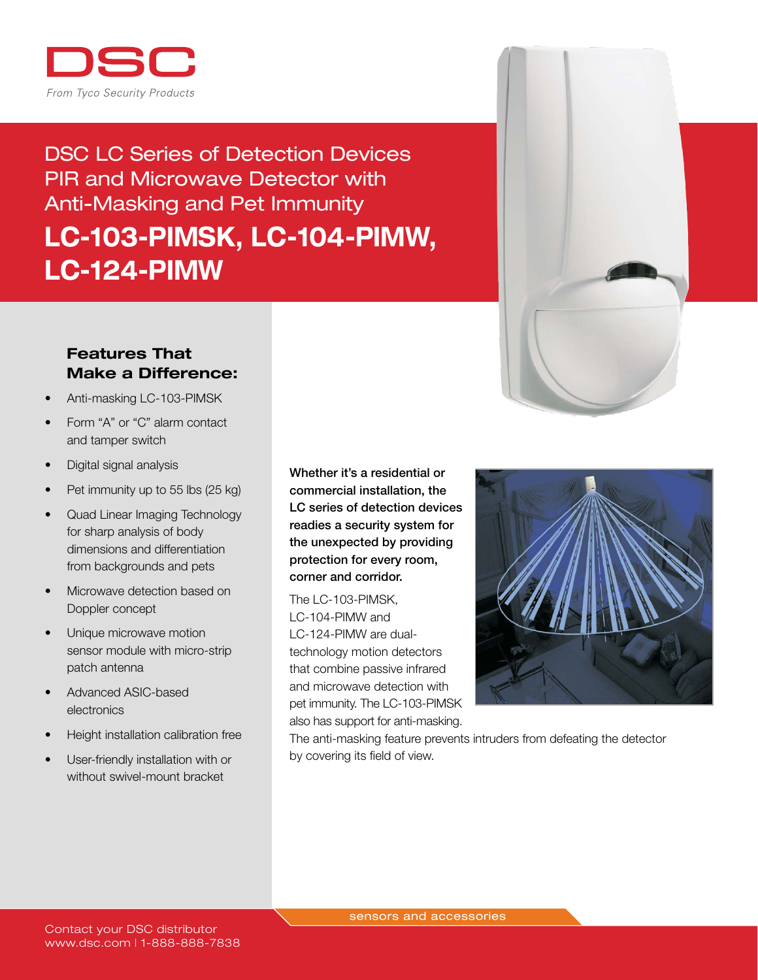

# DSC LC Series of Detection Devices PIR and Microwave Detector with Anti-Masking and Pet Immunity LC-103-PIMSK, LC-104-PIMW, LC-124-PIMW

## Features That Make a Difference:

- Anti-masking LC-103-PIMSK
- Form "A" or "C" alarm contact and tamper switch
- Digital signal analysis
- Pet immunity up to 55 lbs (25 kg)
- Quad Linear Imaging Technology for sharp analysis of body dimensions and differentiation from backgrounds and pets
- Microwave detection based on Doppler concept
- Unique microwave motion sensor module with micro-strip patch antenna
- Advanced ASIC-based electronics
- Height installation calibration free
- User-friendly installation with or without swivel-mount bracket

Whether it's a residential or commercial installation, the LC series of detection devices readies a security system for the unexpected by providing protection for every room, corner and corridor.

The LC-103-PIMSK, LC-104-PIMW and LC-124-PIMW are dualtechnology motion detectors that combine passive infrared and microwave detection with pet immunity. The LC-103-PIMSK also has support for anti-masking.



The anti-masking feature prevents intruders from defeating the detector by covering its field of view.